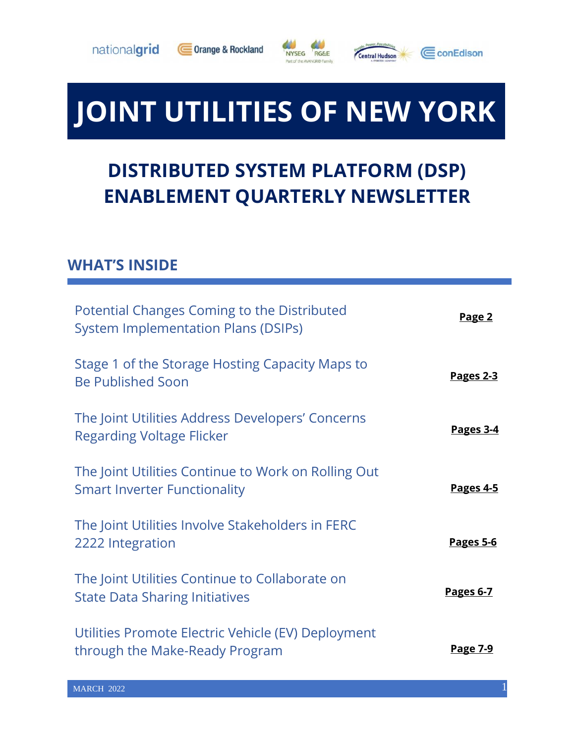





# **JOINT UTILITIES OF NEW YORK**

# **DISTRIBUTED SYSTEM PLATFORM (DSP) ENABLEMENT QUARTERLY NEWSLETTER**

#### **WHAT'S INSIDE**

| Potential Changes Coming to the Distributed<br><b>System Implementation Plans (DSIPs)</b>  | Page 2           |
|--------------------------------------------------------------------------------------------|------------------|
| Stage 1 of the Storage Hosting Capacity Maps to<br><b>Be Published Soon</b>                | Pages 2-3        |
| The Joint Utilities Address Developers' Concerns<br><b>Regarding Voltage Flicker</b>       | Pages 3-4        |
| The Joint Utilities Continue to Work on Rolling Out<br><b>Smart Inverter Functionality</b> | Pages 4-5        |
| The Joint Utilities Involve Stakeholders in FERC<br>2222 Integration                       | <b>Pages 5-6</b> |
| The Joint Utilities Continue to Collaborate on<br><b>State Data Sharing Initiatives</b>    | <b>Pages 6-7</b> |
| Utilities Promote Electric Vehicle (EV) Deployment<br>through the Make-Ready Program       | <u>Page 7-9</u>  |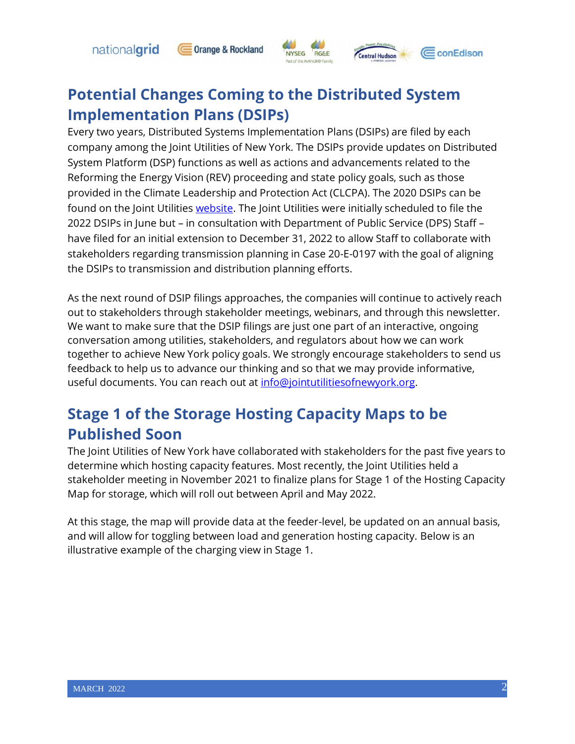nationalgrid

#### **Orange & Rockland RG&E Exercise Hudson NYSEG**

CconEdison

#### **Potential Changes Coming to the Distributed System Implementation Plans (DSIPs)**

Every two years, Distributed Systems Implementation Plans (DSIPs) are filed by each company among the Joint Utilities of New York. The DSIPs provide updates on Distributed System Platform (DSP) functions as well as actions and advancements related to the Reforming the Energy Vision (REV) proceeding and state policy goals, such as those provided in the Climate Leadership and Protection Act (CLCPA). The 2020 DSIPs can be found on the Joint Utilities [website.](https://jointutilitiesofny.org/) The Joint Utilities were initially scheduled to file the 2022 DSIPs in June but – in consultation with Department of Public Service (DPS) Staff – have filed for an initial extension to December 31, 2022 to allow Staff to collaborate with stakeholders regarding transmission planning in Case 20-E-0197 with the goal of aligning the DSIPs to transmission and distribution planning efforts.

As the next round of DSIP filings approaches, the companies will continue to actively reach out to stakeholders through stakeholder meetings, webinars, and through this newsletter. We want to make sure that the DSIP filings are just one part of an interactive, ongoing conversation among utilities, stakeholders, and regulators about how we can work together to achieve New York policy goals. We strongly encourage stakeholders to send us feedback to help us to advance our thinking and so that we may provide informative, useful documents. You can reach out at [info@jointutilitiesofnewyork.org.](mailto:info@jointutilitiesofnewyork.org)

## **Stage 1 of the Storage Hosting Capacity Maps to be Published Soon**

The Joint Utilities of New York have collaborated with stakeholders for the past five years to determine which hosting capacity features. Most recently, the Joint Utilities held a stakeholder meeting in November 2021 to finalize plans for Stage 1 of the Hosting Capacity Map for storage, which will roll out between April and May 2022.

At this stage, the map will provide data at the feeder-level, be updated on an annual basis, and will allow for toggling between load and generation hosting capacity. Below is an illustrative example of the charging view in Stage 1.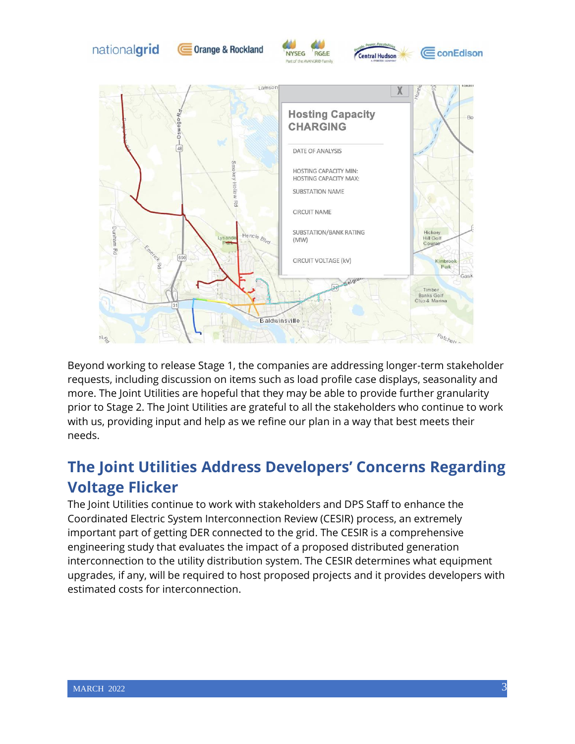

Beyond working to release Stage 1, the companies are addressing longer-term stakeholder requests, including discussion on items such as load profile case displays, seasonality and more. The Joint Utilities are hopeful that they may be able to provide further granularity prior to Stage 2. The Joint Utilities are grateful to all the stakeholders who continue to work with us, providing input and help as we refine our plan in a way that best meets their needs.

#### **The Joint Utilities Address Developers' Concerns Regarding Voltage Flicker**

The Joint Utilities continue to work with stakeholders and DPS Staff to enhance the Coordinated Electric System Interconnection Review (CESIR) process, an extremely important part of getting DER connected to the grid. The CESIR is a comprehensive engineering study that evaluates the impact of a proposed distributed generation interconnection to the utility distribution system. The CESIR determines what equipment upgrades, if any, will be required to host proposed projects and it provides developers with estimated costs for interconnection.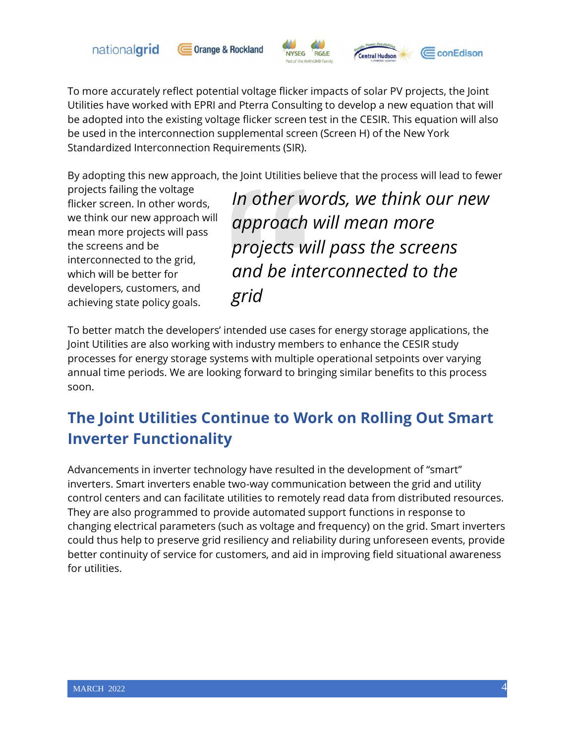

**Orange & Rockland** 



CconEdison

To more accurately reflect potential voltage flicker impacts of solar PV projects, the Joint Utilities have worked with EPRI and Pterra Consulting to develop a new equation that will be adopted into the existing voltage flicker screen test in the CESIR. This equation will also be used in the interconnection supplemental screen (Screen H) of the New York Standardized Interconnection Requirements (SIR).

By adopting this new approach, the Joint Utilities believe that the process will lead to fewer

projects failing the voltage flicker screen. In other words, we think our new approach will mean more projects will pass the screens and be interconnected to the grid, which will be better for developers, customers, and achieving state policy goals.

*In other words, we think our new approach will mean more projects will pass the screens and be interconnected to the grid*

**entral Hudson** 

To better match the developers' intended use cases for energy storage applications, the Joint Utilities are also working with industry members to enhance the CESIR study processes for energy storage systems with multiple operational setpoints over varying annual time periods. We are looking forward to bringing similar benefits to this process soon.

# **The Joint Utilities Continue to Work on Rolling Out Smart Inverter Functionality**

Advancements in inverter technology have resulted in the development of "smart" inverters. Smart inverters enable two-way communication between the grid and utility control centers and can facilitate utilities to remotely read data from distributed resources. They are also programmed to provide automated support functions in response to changing electrical parameters (such as voltage and frequency) on the grid. Smart inverters could thus help to preserve grid resiliency and reliability during unforeseen events, provide better continuity of service for customers, and aid in improving field situational awareness for utilities.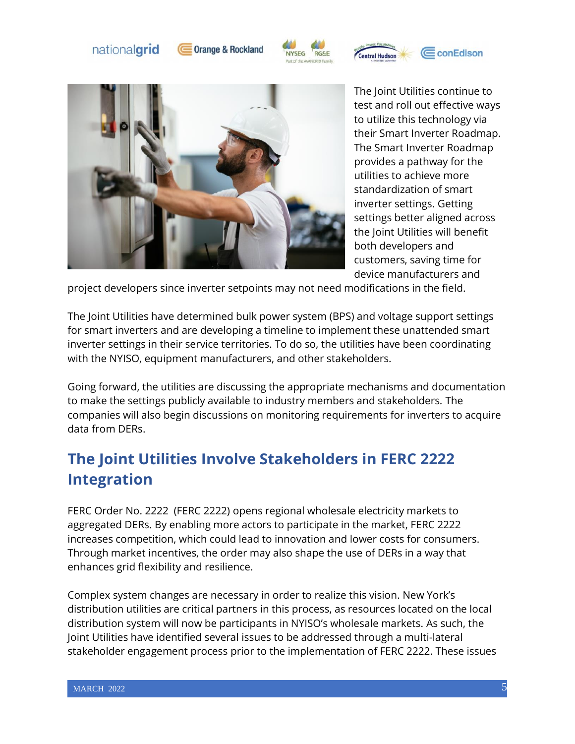





**entral Hudson** 



The Joint Utilities continue to test and roll out effective ways to utilize this technology via their Smart Inverter Roadmap. The Smart Inverter Roadmap provides a pathway for the utilities to achieve more standardization of smart inverter settings. Getting settings better aligned across the Joint Utilities will benefit both developers and customers, saving time for device manufacturers and

CconEdison

project developers since inverter setpoints may not need modifications in the field.

The Joint Utilities have determined bulk power system (BPS) and voltage support settings for smart inverters and are developing a timeline to implement these unattended smart inverter settings in their service territories. To do so, the utilities have been coordinating with the NYISO, equipment manufacturers, and other stakeholders.

Going forward, the utilities are discussing the appropriate mechanisms and documentation to make the settings publicly available to industry members and stakeholders. The companies will also begin discussions on monitoring requirements for inverters to acquire data from DERs.

#### **The Joint Utilities Involve Stakeholders in FERC 2222 Integration**

FERC Order No. 2222 (FERC 2222) opens regional wholesale electricity markets to aggregated DERs. By enabling more actors to participate in the market, FERC 2222 increases competition, which could lead to innovation and lower costs for consumers. Through market incentives, the order may also shape the use of DERs in a way that enhances grid flexibility and resilience.

Complex system changes are necessary in order to realize this vision. New York's distribution utilities are critical partners in this process, as resources located on the local distribution system will now be participants in NYISO's wholesale markets. As such, the Joint Utilities have identified several issues to be addressed through a multi-lateral stakeholder engagement process prior to the implementation of FERC 2222. These issues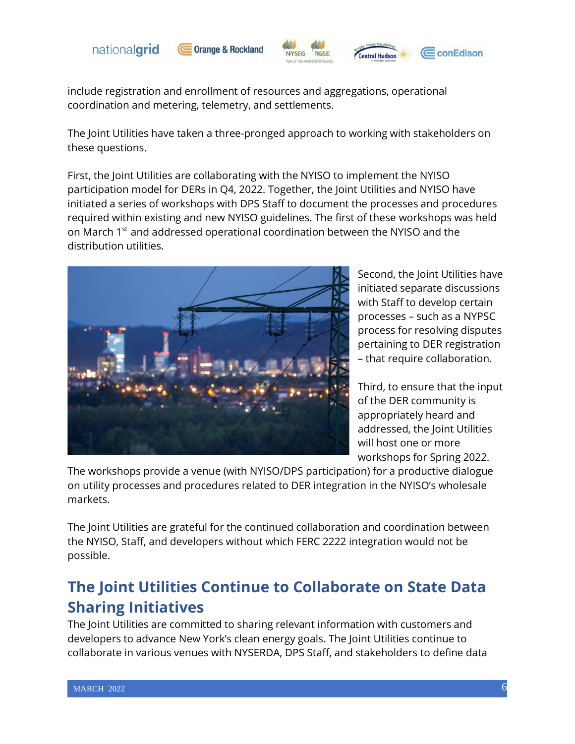

**Orange & Rockland** 





include registration and enrollment of resources and aggregations, operational coordination and metering, telemetry, and settlements.

The Joint Utilities have taken a three-pronged approach to working with stakeholders on these questions.

First, the Joint Utilities are collaborating with the NYISO to implement the NYISO participation model for DERs in Q4, 2022. Together, the Joint Utilities and NYISO have initiated a series of workshops with DPS Staff to document the processes and procedures required within existing and new NYISO guidelines. The first of these workshops was held on March 1<sup>st</sup> and addressed operational coordination between the NYISO and the distribution utilities.



Second, the Joint Utilities have initiated separate discussions with Staff to develop certain processes – such as a NYPSC process for resolving disputes pertaining to DER registration – that require collaboration.

Third, to ensure that the input of the DER community is appropriately heard and addressed, the Joint Utilities will host one or more workshops for Spring 2022.

The workshops provide a venue (with NYISO/DPS participation) for a productive dialogue on utility processes and procedures related to DER integration in the NYISO's wholesale markets.

The Joint Utilities are grateful for the continued collaboration and coordination between the NYISO, Staff, and developers without which FERC 2222 integration would not be possible.

## **The Joint Utilities Continue to Collaborate on State Data Sharing Initiatives**

The Joint Utilities are committed to sharing relevant information with customers and developers to advance New York's clean energy goals. The Joint Utilities continue to collaborate in various venues with NYSERDA, DPS Staff, and stakeholders to define data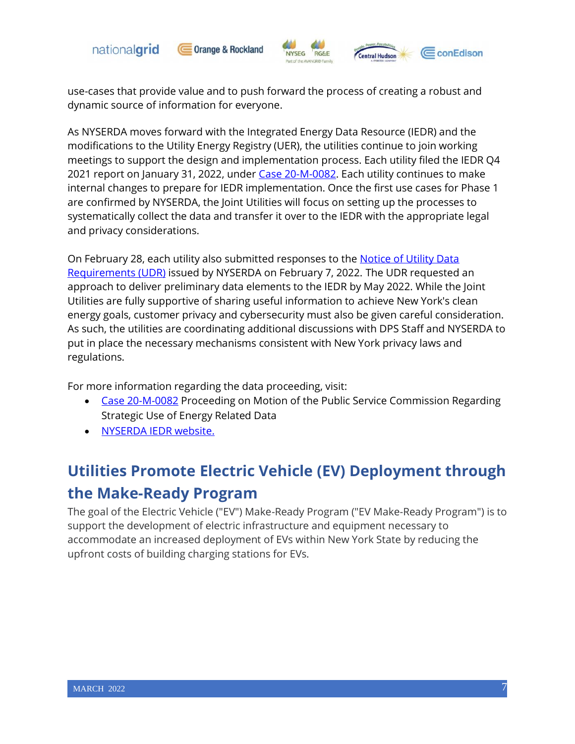



use-cases that provide value and to push forward the process of creating a robust and dynamic source of information for everyone.

As NYSERDA moves forward with the Integrated Energy Data Resource (IEDR) and the modifications to the Utility Energy Registry (UER), the utilities continue to join working meetings to support the design and implementation process. Each utility filed the IEDR Q4 2021 report on January 31, 2022, under [Case 20-M-0082.](https://documents.dps.ny.gov/public/MatterManagement/CaseMaster.aspx?Mattercaseno=20-M-0082) Each utility continues to make internal changes to prepare for IEDR implementation. Once the first use cases for Phase 1 are confirmed by NYSERDA, the Joint Utilities will focus on setting up the processes to systematically collect the data and transfer it over to the IEDR with the appropriate legal and privacy considerations.

On February 28, each utility also submitted responses to the Notice of Utility Data [Requirements \(UDR\)](https://www.nyserda.ny.gov/All-Programs/Integrated-Energy-Data-Resource) issued by NYSERDA on February 7, 2022. The UDR requested an approach to deliver preliminary data elements to the IEDR by May 2022. While the Joint Utilities are fully supportive of sharing useful information to achieve New York's clean energy goals, customer privacy and cybersecurity must also be given careful consideration. As such, the utilities are coordinating additional discussions with DPS Staff and NYSERDA to put in place the necessary mechanisms consistent with New York privacy laws and regulations.

For more information regarding the data proceeding, visit:

- [Case 20-M-0082](https://documents.dps.ny.gov/public/MatterManagement/CaseMaster.aspx?Mattercaseno=20-M-0082) Proceeding on Motion of the Public Service Commission Regarding Strategic Use of Energy Related Data
- [NYSERDA IEDR website.](https://www.nyserda.ny.gov/All-Programs/Integrated-Energy-Data-Resource)

# **Utilities Promote Electric Vehicle (EV) Deployment through the Make-Ready Program**

The goal of the Electric Vehicle ("EV") Make-Ready Program ("EV Make-Ready Program") is to support the development of electric infrastructure and equipment necessary to accommodate an increased deployment of EVs within New York State by reducing the upfront costs of building charging stations for EVs.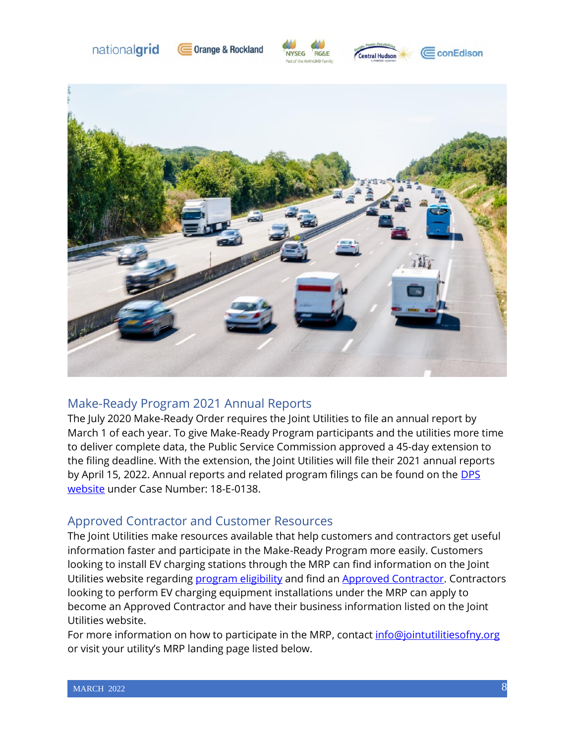









#### Make-Ready Program 2021 Annual Reports

The July 2020 Make-Ready Order requires the Joint Utilities to file an annual report by March 1 of each year. To give Make-Ready Program participants and the utilities more time to deliver complete data, the Public Service Commission approved a 45-day extension to the filing deadline. With the extension, the Joint Utilities will file their 2021 annual reports by April 15, 2022. Annual reports and related program filings can be found on the DPS [website](https://documents.dps.ny.gov/public/MatterManagement/CaseMaster.aspx?Mattercaseno=18-E-0138) under Case Number: 18-E-0138.

#### Approved Contractor and Customer Resources

The Joint Utilities make resources available that help customers and contractors get useful information faster and participate in the Make-Ready Program more easily. Customers looking to install EV charging stations through the MRP can find information on the Joint Utilities website regarding [program eligibility](https://jointutilitiesofny.org/ev/make-ready) and find an [Approved Contractor.](https://jointutilitiesofny.org/ev/make-ready/approved-contractors?) Contractors looking to perform EV charging equipment installations under the MRP can apply to become an Approved Contractor and have their business information listed on the Joint Utilities website.

For more information on how to participate in the MRP, contact [info@jointutilitiesofny.org](mailto:info@jointutilitiesofny.org) or visit your utility's MRP landing page listed below.